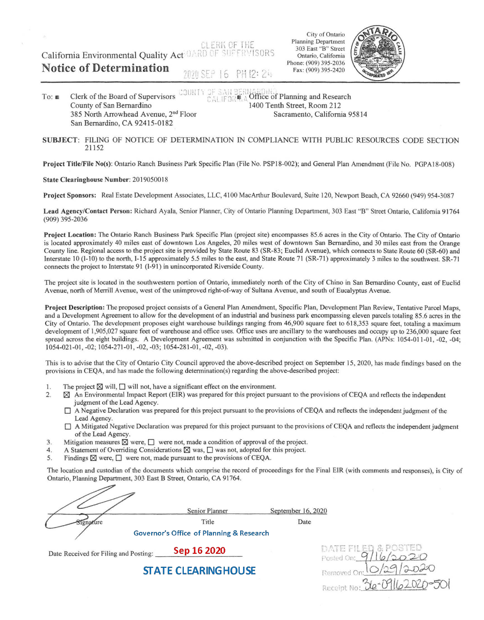**CLERK OF THE** California Environmental Quality Act DARD OF SUPERVISORS

City of Ontario Planning Department 303 East "B" Street Ontario, California Phone: (909) 395-2036 Fax: (909) 395-2420



To: ■ Clerk of the Board of Supervisors County of San Bernardino 385 North Arrowhead Avenue, 2<sup>nd</sup> Floor San Bernardino, CA 924I5-0182 COURTY OF SAN BERNARDINA<br>CALIFOR<sub>, A</sub> Office of Planning and Research 1400 Tenth Street, Room 212 Sacramento, California 95814

2020 SEP 16 PH 12: 24

## **SUBJECT:** FILING OF NOTICE OF DETERMINATION IN COMPLIANCE WITH PUBLIC RESOURCES CODE SECTION 21 152

**Project Title/File No(s):** Ontario Ranch Business Park Specific Plan (File No. PSP 18-002); and General Plan Amendment (File No. PGPA 18-008)

## **State Clearinghouse Number:** 201905001 8

**Notice of Determination** 

**Project Sponsors:** Real Estate Development Associates, LLC, 4100 MacArthur Boulevard, Suite 120, Newport Beach, CA 92660 (949) 954-3087

**Lead Agency/Contact Person:** Richard Ayala, Senior Planner, City of Ontario Planning Department, 303 East "B" Street Ontario, California 91764 (909) 395-2036

**Project Location:** The Ontario Ranch Business Park Specific Plan (project site) encompasses 85.6 acres in the City of Ontario. The City of Ontario is located approximately 40 miles east of downtown Los Angeles, 20 miles west of downtown San Bernardino, and 30 miles east from the Orange County line. Regional access to the project site is provided by State Route 83 (SR-83; Euclid Avenue), which connects to State Route 60 (SR-60) and Interstate 10 (I-10) to the north, I-15 approximately 5.5 miles to the east, and State Route 71 (SR-71) approximately 3 miles to the southwest. SR-71 connects the project to Interstate 91 (I-91) in unincorporated Riverside County.

The project site is located in the southwestern portion of Ontario, immediately north of the City of Chino in San Bernardino County, east of Euclid A venue, north of Merrill A venue, west of the unimproved right-of-way of Sultana A venue, and south of Eucalyptus Avenue.

**Project Description:** The proposed project consists of a General Plan Amendment, Specific Plan, Development Plan Review, Tentative Parcel Maps, and a Development Agreement to allow for the development of an industrial and business park encompassing eleven parcels totaling 85.6 acres in the City of Ontario. The development proposes eight warehouse buildings ranging from 46,900 square feet to 618,353 square feet, totaling a maximum development of 1,905,027 square feet of warehouse and office uses. Office uses are ancillary to the warehouses and occupy up to 236,000 square feet spread across the eight buildings. A Development Agreement was submitted in conjunction with the Specific Plan. (APNs: 1054-011-01, -02, -04; 1054-021-01, -02; 1054-271-01, -02, -03; 1054-281-01, -02, -03).

This is to advise that the City of Ontario City Council approved the above-described project on September 15, 2020, has made findings based on the provisions in CEQA, and has made the following detennination(s) regarding the above-described project:

- 1. The project  $\boxtimes$  will,  $\Box$  will not, have a significant effect on the environment.
- 2. **[8]** An Environmental Impact Report (EIR) was prepared for this project pursuant to the provisions of CEQA and reflects the independent judgment of the Lead Agency.
	- O A Negative Declaration was prepared for this project pursuant to the provisions ofCEQA and reflects the independent judgment of the Lead Agency.
	- O A Mitigated Negative Declaration was prepared for this project pursuant to the provisions of CEQA and reflects the independent judgment of the Lead Agency.
- 3. Mitigation measures  $\boxtimes$  were,  $\Box$  were not, made a condition of approval of the project.
- 4. A Statement of Overriding Considerations  $\boxtimes$  was,  $\Box$  was not, adopted for this project.
- 5. Findings  $\boxtimes$  were,  $\Box$  were not, made pursuant to the provisions of CEQA.

The location and custodian of the documents which comprise the record of proceedings for the Final EIR (with comments and responses), is City of Ontario, Planning Department, 303 East B Street, Ontario, CA 91764.

| Senior Planner                                      | September 16, 2020 |
|-----------------------------------------------------|--------------------|
| Title                                               | Date               |
| <b>Governor's Office of Planning &amp; Research</b> |                    |

Date Received for Filing and Posting: **Sep 16 2020** 

**STATE CLEARING HOUSE** 

| native with the<br>Posted On: 9/ |
|----------------------------------|
| Removed On: 10/29/2020           |
| Receipt No: 36-09162020-501      |